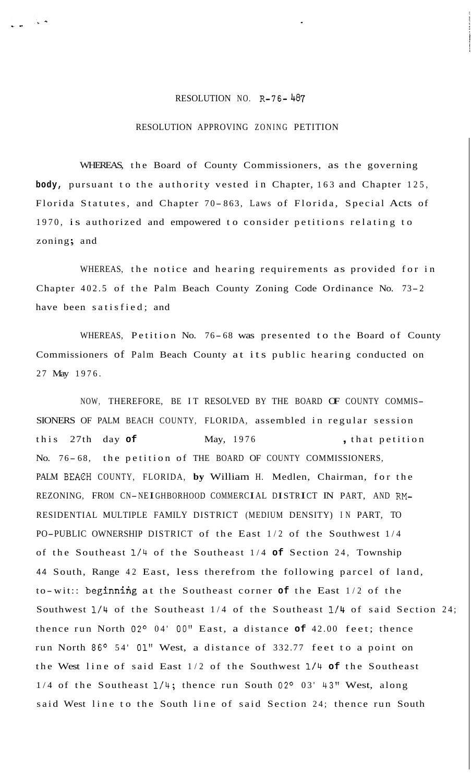## RESOLUTION NO. R-76-487

## RESOLUTION APPROVING ZONING PETITION

WHEREAS, the Board of County Commissioners, as the governing **body,** pursuant to the authority vested in Chapter, 163 and Chapter 125, Florida Statutes, and Chapter 70-863, Laws of Florida, Special Acts of 1970, is authorized and empowered to consider petitions relating to zoning; and

WHEREAS, the notice and hearing requirements as provided for in Chapter 402.5 of the Palm Beach County Zoning Code Ordinance No. 73- <sup>2</sup> have been satisfied; and

WHEREAS, Petition No. 76- 68 was presented to the Board of County Commissioners of Palm Beach County at its public hearing conducted on 27 May 1976.

NOW, THEREFORE, BE IT RESOLVED BY THE BOARD OF COUNTY COMMIS-SIONERS OF PALM BEACH COUNTY, FLORIDA, assembled in regular session this 27th day **of** May, 1976 , that petition No. 76-68, the petition of THE BOARD OF COUNTY COMMISSIONERS, PALM BEACH COUNTY, FLORIDA, **by** William H. Medlen, Chairman, for the REZONING, FROM CN-NEIGHBORHOOD COMMERCIAL DISTRICT IN PART, AND RM-RESIDENTIAL MULTIPLE FAMILY DISTRICT (MEDIUM DENSITY) IN PART, TO PO-PUBLIC OWNERSHIP DISTRICT of the East 1/2 of the Southwest 1/4 of the Southeast **1/4** of the Southeast 1/4 **of** Section 24, Township <sup>44</sup>South, Range 42 East, less therefrom the following parcel of land, to-wit:: beginning at the Southeast corner of the East 1/2 of the Southwest **1/4** of the Southeast 1/4 of the Southeast **1/4** of said Section 24; thence run North 02° 04' 00" East, a distance of 42.00 feet; thence run North 86° 54' 01" West, a distance of 332.77 feet to a point on the West line of said East 1/2 of the Southwest **1/4 of** the Southeast  $1/4$  of the Southeast  $1/4$ ; thence run South 02° 03' 43" West, along said West line to the South line of said Section 24; thence run South